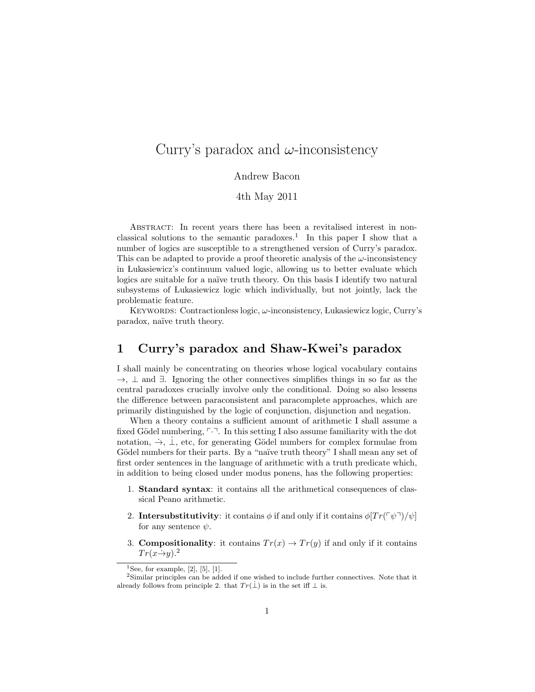# Curry's paradox and  $\omega$ -inconsistency

#### Andrew Bacon

#### 4th May 2011

ABSTRACT: In recent years there has been a revitalised interest in nonclassical solutions to the semantic paradoxes.<sup>1</sup> In this paper I show that a number of logics are susceptible to a strengthened version of Curry's paradox. This can be adapted to provide a proof theoretic analysis of the  $\omega$ -inconsistency in Lukasiewicz's continuum valued logic, allowing us to better evaluate which logics are suitable for a naïve truth theory. On this basis I identify two natural subsystems of Lukasiewicz logic which individually, but not jointly, lack the problematic feature.

KEYWORDS: Contractionless logic,  $\omega$ -inconsistency, Lukasiewicz logic, Curry's paradox, na¨ıve truth theory.

### 1 Curry's paradox and Shaw-Kwei's paradox

I shall mainly be concentrating on theories whose logical vocabulary contains  $\rightarrow$ ,  $\perp$  and  $\exists$ . Ignoring the other connectives simplifies things in so far as the central paradoxes crucially involve only the conditional. Doing so also lessens the difference between paraconsistent and paracomplete approaches, which are primarily distinguished by the logic of conjunction, disjunction and negation.

When a theory contains a sufficient amount of arithmetic I shall assume a fixed Gödel numbering,  $\lceil \cdot \rceil$ . In this setting I also assume familiarity with the dot notation,  $\rightarrow$ ,  $\perp$ , etc, for generating Gödel numbers for complex formulae from Gödel numbers for their parts. By a "naïve truth theory" I shall mean any set of first order sentences in the language of arithmetic with a truth predicate which, in addition to being closed under modus ponens, has the following properties:

- 1. Standard syntax: it contains all the arithmetical consequences of classical Peano arithmetic.
- 2. Intersubstitutivity: it contains  $\phi$  if and only if it contains  $\phi[Tr(\ulcorner\psi\urcorner)/\psi\urcorner]$ for any sentence  $\psi$ .
- 3. **Compositionality**: it contains  $Tr(x) \rightarrow Tr(y)$  if and only if it contains  $Tr(x\rightarrow y)$ .<sup>2</sup>

<sup>1</sup>See, for example,  $[2]$ ,  $[5]$ ,  $[1]$ .

<sup>2</sup>Similar principles can be added if one wished to include further connectives. Note that it already follows from principle 2. that  $Tr(\dot{\perp})$  is in the set iff  $\perp$  is.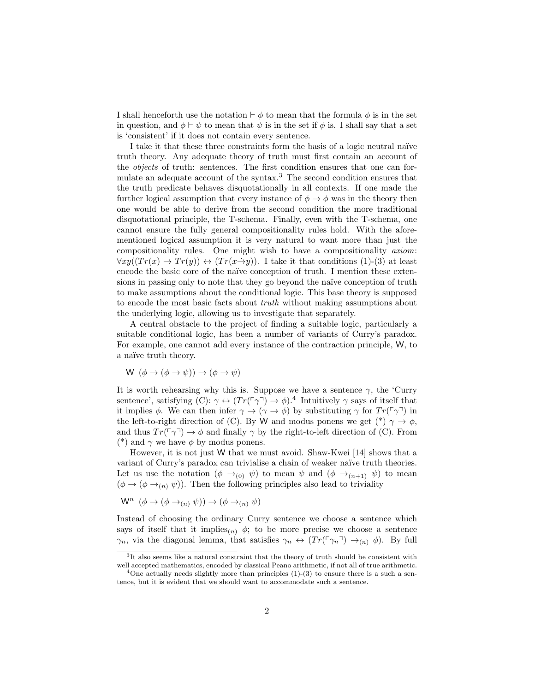I shall henceforth use the notation  $\vdash \phi$  to mean that the formula  $\phi$  is in the set in question, and  $\phi \vdash \psi$  to mean that  $\psi$  is in the set if  $\phi$  is. I shall say that a set is 'consistent' if it does not contain every sentence.

I take it that these three constraints form the basis of a logic neutral na¨ıve truth theory. Any adequate theory of truth must first contain an account of the objects of truth: sentences. The first condition ensures that one can formulate an adequate account of the syntax.<sup>3</sup> The second condition ensures that the truth predicate behaves disquotationally in all contexts. If one made the further logical assumption that every instance of  $\phi \rightarrow \phi$  was in the theory then one would be able to derive from the second condition the more traditional disquotational principle, the T-schema. Finally, even with the T-schema, one cannot ensure the fully general compositionality rules hold. With the aforementioned logical assumption it is very natural to want more than just the compositionality rules. One might wish to have a compositionality axiom:  $\forall xy((Tr(x) \rightarrow Tr(y)) \leftrightarrow (Tr(x\rightarrow y))$ . I take it that conditions (1)-(3) at least encode the basic core of the naïve conception of truth. I mention these extensions in passing only to note that they go beyond the naïve conception of truth to make assumptions about the conditional logic. This base theory is supposed to encode the most basic facts about truth without making assumptions about the underlying logic, allowing us to investigate that separately.

A central obstacle to the project of finding a suitable logic, particularly a suitable conditional logic, has been a number of variants of Curry's paradox. For example, one cannot add every instance of the contraction principle, W, to a naïve truth theory.

$$
W (\phi \to (\phi \to \psi)) \to (\phi \to \psi)
$$

It is worth rehearsing why this is. Suppose we have a sentence  $\gamma$ , the 'Curry sentence', satisfying  $(C): \gamma \leftrightarrow (Tr(\lceil \gamma \rceil) \rightarrow \phi)$ .<sup>4</sup> Intuitively  $\gamma$  says of itself that it implies  $\phi$ . We can then infer  $\gamma \to (\gamma \to \phi)$  by substituting  $\gamma$  for  $Tr(\lceil \gamma \rceil)$  in the left-to-right direction of (C). By W and modus ponens we get  $(*) \gamma \rightarrow \phi$ , and thus  $Tr(\ulcorner \gamma \urcorner) \rightarrow \phi$  and finally  $\gamma$  by the right-to-left direction of (C). From (\*) and  $\gamma$  we have  $\phi$  by modus ponens.

However, it is not just W that we must avoid. Shaw-Kwei [14] shows that a variant of Curry's paradox can trivialise a chain of weaker naïve truth theories. Let us use the notation  $(\phi \rightarrow_{(0)} \psi)$  to mean  $\psi$  and  $(\phi \rightarrow_{(n+1)} \psi)$  to mean  $(\phi \rightarrow (\phi \rightarrow_{(n)} \psi))$ . Then the following principles also lead to triviality

$$
\mathsf{W}^n \ (\phi \to (\phi \to_{(n)} \psi)) \to (\phi \to_{(n)} \psi)
$$

Instead of choosing the ordinary Curry sentence we choose a sentence which says of itself that it implies<sub>(n)</sub>  $\phi$ ; to be more precise we choose a sentence  $\gamma_n$ , via the diagonal lemma, that satisfies  $\gamma_n \leftrightarrow (Tr(\lceil \gamma_n \rceil) \rightarrow_{(n)} \phi)$ . By full

<sup>&</sup>lt;sup>3</sup>It also seems like a natural constraint that the theory of truth should be consistent with well accepted mathematics, encoded by classical Peano arithmetic, if not all of true arithmetic.

<sup>&</sup>lt;sup>4</sup>One actually needs slightly more than principles  $(1)-(3)$  to ensure there is a such a sentence, but it is evident that we should want to accommodate such a sentence.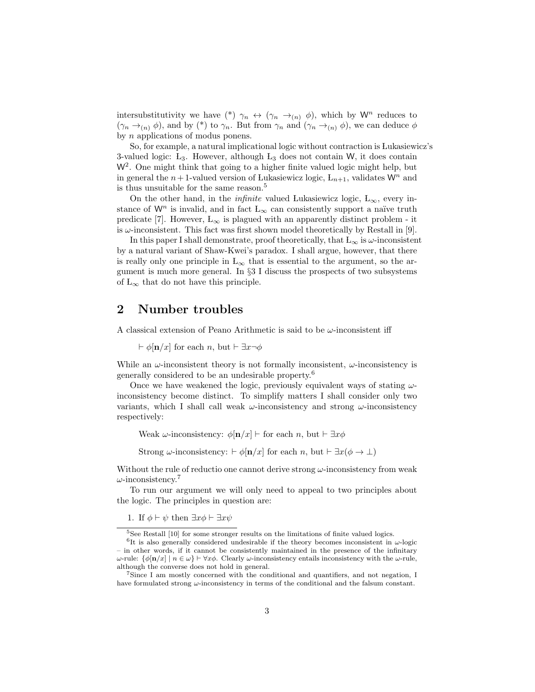intersubstitutivity we have (\*)  $\gamma_n \leftrightarrow (\gamma_n \rightarrow_{(n)} \phi)$ , which by W<sup>n</sup> reduces to  $(\gamma_n \rightarrow_{(n)} \phi)$ , and by (\*) to  $\gamma_n$ . But from  $\gamma_n$  and  $(\gamma_n \rightarrow_{(n)} \phi)$ , we can deduce  $\phi$ by n applications of modus ponens.

So, for example, a natural implicational logic without contraction is Lukasiewicz's 3-valued logic:  $L_3$ . However, although  $L_3$  does not contain W, it does contain W<sup>2</sup>. One might think that going to a higher finite valued logic might help, but in general the  $n+1$ -valued version of Lukasiewicz logic,  $L_{n+1}$ , validates  $\mathsf{W}^n$  and is thus unsuitable for the same reason.<sup>5</sup>

On the other hand, in the *infinite* valued Lukasiewicz logic, L<sub>∞</sub>, every instance of W<sup>n</sup> is invalid, and in fact  $L_{\infty}$  can consistently support a naïve truth predicate [7]. However,  $L_{\infty}$  is plagued with an apparently distinct problem - it is  $\omega$ -inconsistent. This fact was first shown model theoretically by Restall in [9].

In this paper I shall demonstrate, proof theoretically, that  $L_{\infty}$  is  $\omega$ -inconsistent by a natural variant of Shaw-Kwei's paradox. I shall argue, however, that there is really only one principle in  $L_{\infty}$  that is essential to the argument, so the argument is much more general. In §3 I discuss the prospects of two subsystems of  $L_{\infty}$  that do not have this principle.

### 2 Number troubles

A classical extension of Peano Arithmetic is said to be  $\omega$ -inconsistent iff

 $\vdash \phi$ [n/x] for each n, but  $\vdash \exists x \neg \phi$ 

While an  $\omega$ -inconsistent theory is not formally inconsistent,  $\omega$ -inconsistency is generally considered to be an undesirable property.<sup>6</sup>

Once we have weakened the logic, previously equivalent ways of stating  $\omega$ inconsistency become distinct. To simplify matters I shall consider only two variants, which I shall call weak  $\omega$ -inconsistency and strong  $\omega$ -inconsistency respectively:

Weak  $\omega$ -inconsistency:  $\phi[\mathbf{n}/x] \vdash$  for each n, but  $\vdash \exists x \phi$ 

Strong  $\omega$ -inconsistency:  $\vdash \phi[n/x]$  for each n, but  $\vdash \exists x(\phi \to \bot)$ 

Without the rule of reductio one cannot derive strong  $\omega$ -inconsistency from weak  $\omega$ -inconsistency.<sup>7</sup>

To run our argument we will only need to appeal to two principles about the logic. The principles in question are:

1. If  $\phi \vdash \psi$  then  $\exists x \phi \vdash \exists x \psi$ 

<sup>&</sup>lt;sup>5</sup>See Restall [10] for some stronger results on the limitations of finite valued logics.

<sup>&</sup>lt;sup>6</sup>It is also generally considered undesirable if the theory becomes inconsistent in  $\omega$ -logic – in other words, if it cannot be consistently maintained in the presence of the infinitary  $ω$ -rule: {φ[n/x] |  $n ∈ ω$ }  $\vdash \forall x φ$ . Clearly ω-inconsistency entails inconsistency with the ω-rule, although the converse does not hold in general.

<sup>7</sup>Since I am mostly concerned with the conditional and quantifiers, and not negation, I have formulated strong  $\omega$ -inconsistency in terms of the conditional and the falsum constant.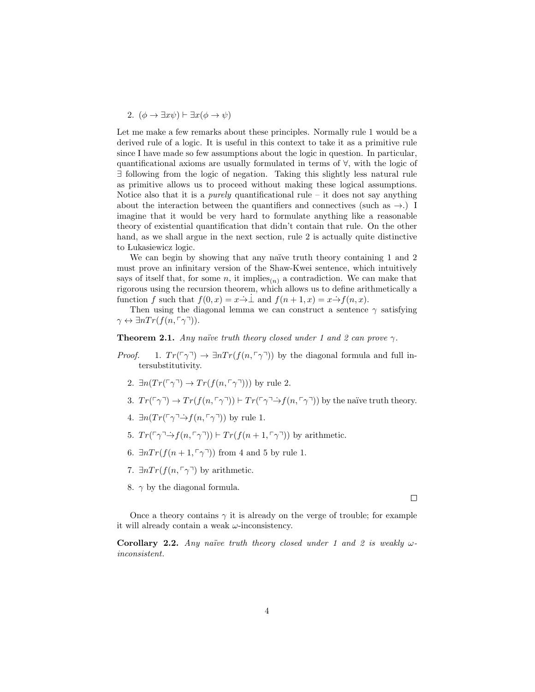2. 
$$
(\phi \rightarrow \exists x \psi) \vdash \exists x (\phi \rightarrow \psi)
$$

Let me make a few remarks about these principles. Normally rule 1 would be a derived rule of a logic. It is useful in this context to take it as a primitive rule since I have made so few assumptions about the logic in question. In particular, quantificational axioms are usually formulated in terms of ∀, with the logic of ∃ following from the logic of negation. Taking this slightly less natural rule as primitive allows us to proceed without making these logical assumptions. Notice also that it is a *purely* quantificational rule – it does not say anything about the interaction between the quantifiers and connectives (such as  $\rightarrow$ .) I imagine that it would be very hard to formulate anything like a reasonable theory of existential quantification that didn't contain that rule. On the other hand, as we shall argue in the next section, rule 2 is actually quite distinctive to Lukasiewicz logic.

We can begin by showing that any naïve truth theory containing 1 and 2 must prove an infinitary version of the Shaw-Kwei sentence, which intuitively says of itself that, for some n, it implies<sub>(n)</sub> a contradiction. We can make that rigorous using the recursion theorem, which allows us to define arithmetically a function f such that  $f(0, x) = x \rightarrow 1$  and  $f(n+1, x) = x \rightarrow f(n, x)$ .

Then using the diagonal lemma we can construct a sentence  $\gamma$  satisfying  $\gamma \leftrightarrow \exists n Tr(f(n,\lceil \gamma \rceil)).$ 

**Theorem 2.1.** Any naïve truth theory closed under 1 and 2 can prove  $\gamma$ .

- *Proof.* 1.  $Tr(\lceil \gamma \rceil) \rightarrow \exists n Tr(f(n, \lceil \gamma \rceil))$  by the diagonal formula and full intersubstitutivity.
	- 2.  $\exists n (Tr(\ulcorner \gamma \urcorner) \rightarrow Tr(f(n, \ulcorner \gamma \urcorner)))$  by rule 2.
	- 3.  $Tr(\lceil \gamma \rceil) \to Tr(f(n, \lceil \gamma \rceil)) \vdash Tr(\lceil \gamma \rceil \to f(n, \lceil \gamma \rceil))$  by the naïve truth theory.
	- 4.  $\exists n (Tr(\ulcorner \gamma \urcorner \rightarrow f(n, \ulcorner \gamma \urcorner))$  by rule 1.
	- 5.  $Tr(\lceil \gamma \rceil \rightarrow f(n, \lceil \gamma \rceil)) \vdash Tr(f(n+1, \lceil \gamma \rceil))$  by arithmetic.
	- 6.  $\exists n Tr(f(n+1,\lceil \gamma \rceil))$  from 4 and 5 by rule 1.
	- 7.  $\exists n Tr(f(n, \lceil \gamma \rceil)$  by arithmetic.
	- 8.  $\gamma$  by the diagonal formula.

 $\Box$ 

Once a theory contains  $\gamma$  it is already on the verge of trouble; for example it will already contain a weak  $\omega$ -inconsistency.

Corollary 2.2. Any naïve truth theory closed under 1 and 2 is weakly  $\omega$ inconsistent.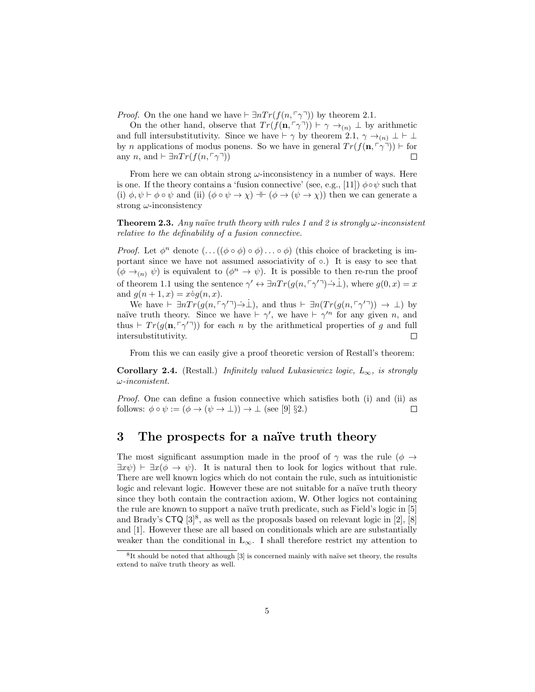*Proof.* On the one hand we have  $\vdash \exists n Tr(f(n, \lceil \gamma \rceil))$  by theorem 2.1.

On the other hand, observe that  $Tr(f(\mathbf{n}, \lceil \gamma \rceil)) \vdash \gamma \rightarrow_{(n)} \bot$  by arithmetic and full intersubstitutivity. Since we have  $\vdash \gamma$  by theorem 2.1,  $\gamma \rightarrow_{(n)} \bot \vdash \bot$ by n applications of modus ponens. So we have in general  $Tr(f(\mathbf{n}, \lceil \gamma \rceil)) \vdash$  for any n, and  $\vdash \exists n Tr(f(n, \lceil \gamma \rceil))$  $\Box$ 

From here we can obtain strong  $\omega$ -inconsistency in a number of ways. Here is one. If the theory contains a 'fusion connective' (see, e.g., [11])  $\phi \circ \psi$  such that (i)  $\phi, \psi \vdash \phi \circ \psi$  and (ii)  $(\phi \circ \psi \rightarrow \chi) \dashv (\phi \rightarrow (\psi \rightarrow \chi))$  then we can generate a strong  $\omega$ -inconsistency

**Theorem 2.3.** Any naïve truth theory with rules 1 and 2 is strongly  $\omega$ -inconsistent relative to the definability of a fusion connective.

*Proof.* Let  $\phi^n$  denote  $(\dots((\phi \circ \phi) \circ \phi) \dots \circ \phi)$  (this choice of bracketing is important since we have not assumed associativity of ∘.) It is easy to see that  $(\phi \rightarrow_{(n)} \psi)$  is equivalent to  $(\phi^n \rightarrow \psi)$ . It is possible to then re-run the proof of theorem 1.1 using the sentence  $\gamma' \leftrightarrow \exists n Tr(g(n, \lceil \gamma' \rceil) \rightarrow \bot)$ , where  $g(0, x) = x$ and  $q(n + 1, x) = x \dot{o} q(n, x)$ .

We have  $\vdash \exists n Tr(g(n, \ulcorner \gamma'') \rightarrow \bot)$ , and thus  $\vdash \exists n Tr(g(n, \ulcorner \gamma'') ) \rightarrow \bot)$  by naïve truth theory. Since we have  $\vdash \gamma'$ , we have  $\vdash \gamma'^n$  for any given n, and thus  $\vdash Tr(g(\mathbf{n}, \lceil \gamma' \rceil))$  for each n by the arithmetical properties of g and full intersubstitutivity.  $\Box$ 

From this we can easily give a proof theoretic version of Restall's theorem:

**Corollary 2.4.** (Restall.) Infinitely valued Lukasiewicz logic,  $L_{\infty}$ , is strongly ω-inconistent.

Proof. One can define a fusion connective which satisfies both (i) and (ii) as follows:  $\phi \circ \psi := (\phi \to (\psi \to \bot)) \to \bot$  (see [9] §2.)  $\Box$ 

## 3 The prospects for a naïve truth theory

The most significant assumption made in the proof of  $\gamma$  was the rule ( $\phi \rightarrow$  $\exists x\psi$   $\vdash \exists x(\phi \rightarrow \psi)$ . It is natural then to look for logics without that rule. There are well known logics which do not contain the rule, such as intuitionistic logic and relevant logic. However these are not suitable for a naïve truth theory since they both contain the contraction axiom, W. Other logics not containing the rule are known to support a naïve truth predicate, such as Field's logic in [5] and Brady's  $CTQ$  [3]<sup>8</sup>, as well as the proposals based on relevant logic in [2], [8] and [1]. However these are all based on conditionals which are are substantially weaker than the conditional in  $L_{\infty}$ . I shall therefore restrict my attention to

 ${}^{8}$ It should be noted that although  $[3]$  is concerned mainly with naïve set theory, the results extend to naïve truth theory as well.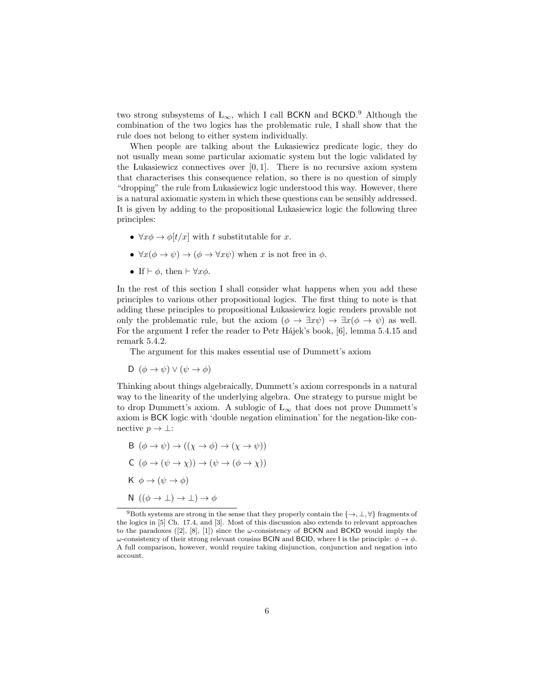two strong subsystems of  $L_{\infty}$ , which I call BCKN and BCKD.<sup>9</sup> Although the combination of the two logics has the problematic rule, I shall show that the rule does not belong to either system individually.

When people are talking about the Lukasiewicz predicate logic, they do not usually mean some particular axiomatic system but the logic validated by the Lukasiewicz connectives over  $[0, 1]$ . There is no recursive axiom system that characterises this consequence relation, so there is no question of simply "dropping" the rule from Lukasiewicz logic understood this way. However, there is a natural axiomatic system in which these questions can be sensibly addressed. It is given by adding to the propositional Lukasiewicz logic the following three principles:

- $\forall x \phi \rightarrow \phi[t/x]$  with t substitutable for x.
- $\forall x(\phi \rightarrow \psi) \rightarrow (\phi \rightarrow \forall x \psi)$  when x is not free in  $\phi$ .
- If  $\vdash \phi$ , then  $\vdash \forall x \phi$ .

In the rest of this section I shall consider what happens when you add these principles to various other propositional logics. The first thing to note is that adding these principles to propositional Lukasiewicz logic renders provable not only the problematic rule, but the axiom  $(\phi \to \exists x \psi) \to \exists x (\phi \to \psi)$  as well. For the argument I refer the reader to Petr Hájek's book, [6], lemma 5.4.15 and remark 5.4.2.

The argument for this makes essential use of Dummett's axiom

D  $(\phi \to \psi) \vee (\psi \to \phi)$ 

Thinking about things algebraically, Dummett's axiom corresponds in a natural way to the linearity of the underlying algebra. One strategy to pursue might be to drop Dummett's axiom. A sublogic of  $L_{\infty}$  that does not prove Dummett's axiom is BCK logic with 'double negation elimination' for the negation-like connective  $p \to \bot$ :

B 
$$
(\phi \rightarrow \psi) \rightarrow ((\chi \rightarrow \phi) \rightarrow (\chi \rightarrow \psi))
$$
  
\nC  $(\phi \rightarrow (\psi \rightarrow \chi)) \rightarrow (\psi \rightarrow (\phi \rightarrow \chi))$   
\nK  $\phi \rightarrow (\psi \rightarrow \phi)$   
\nN  $((\phi \rightarrow \bot) \rightarrow \bot) \rightarrow \phi$ 

<sup>&</sup>lt;sup>9</sup>Both systems are strong in the sense that they properly contain the  $\{\rightarrow, \bot, \forall\}$  fragments of the logics in [5] Ch. 17.4, and [3]. Most of this discussion also extends to relevant approaches to the paradoxes ([2], [8], [1]) since the  $\omega$ -consistency of BCKN and BCKD would imply the ω-consistency of their strong relevant cousins BCIN and BCID, where I is the principle:  $\phi \to \phi$ . A full comparison, however, would require taking disjunction, conjunction and negation into account.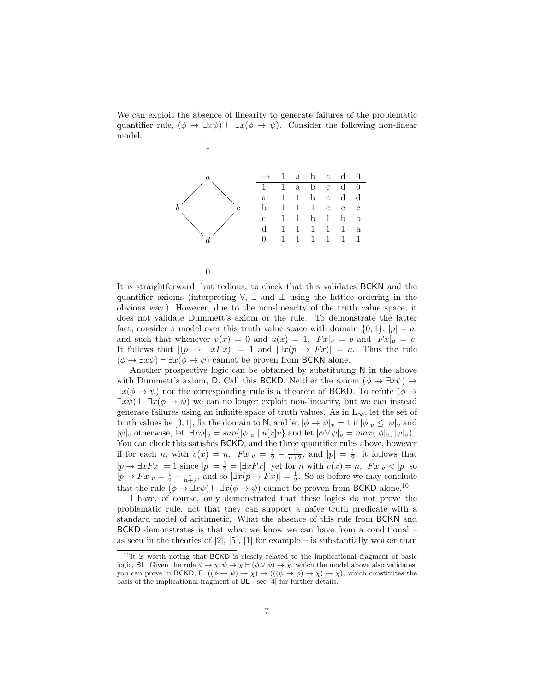We can exploit the absence of linearity to generate failures of the problematic quantifier rule,  $(\phi \to \exists x \psi) \vdash \exists x (\phi \to \psi)$ . Consider the following non-linear model.



It is straightforward, but tedious, to check that this validates BCKN and the quantifier axioms (interpreting  $\forall$ ,  $\exists$  and  $\bot$  using the lattice ordering in the obvious way.) However, due to the non-linearity of the truth value space, it does not validate Dummett's axiom or the rule. To demonstrate the latter fact, consider a model over this truth value space with domain  $\{0, 1\}$ ,  $|p| = a$ , and such that whenever  $v(x) = 0$  and  $u(x) = 1$ ,  $|Fx|_v = b$  and  $|Fx|_u = c$ . It follows that  $|(p \to \exists x F x)| = 1$  and  $|\exists x (p \to F x)| = a$ . Thus the rule  $(\phi \to \exists x \psi) \vdash \exists x (\phi \to \psi)$  cannot be proven from BCKN alone.

Another prospective logic can be obtained by substituting N in the above with Dummett's axiom, D. Call this BCKD. Neither the axiom  $(\phi \to \exists x \psi) \to$  $\exists x(\phi \to \psi)$  nor the corresponding rule is a theorem of BCKD. To refute  $(\phi \to \psi)$  $\exists x \psi$   $\vdash \exists x (\phi \rightarrow \psi)$  we can no longer exploit non-linearity, but we can instead generate failures using an infinite space of truth values. As in  $L_{\infty}$ , let the set of truth values be [0, 1], fix the domain to N, and let  $|\phi \to \psi|_v = 1$  if  $|\phi|_v \leq |\psi|_v$  and  $|\psi|_v$  otherwise, let  $|\exists x\phi|_v = sup\{|\phi|_u \mid u[x]v\}$  and let  $|\phi \vee \psi|_v = max(|\phi|_v, |\psi|_v)$ . You can check this satisfies BCKD, and the three quantifier rules above, however if for each *n*, with  $v(x) = n$ ,  $|Fx|_v = \frac{1}{2} - \frac{1}{n+2}$ , and  $|p| = \frac{1}{2}$ , it follows that  $|p \to \exists x Fx| = 1$  since  $|p| = \frac{1}{2} = |\exists x Fx|$ , yet for n with  $v(x) = n$ ,  $|Fx|_v < |p|$  so  $|p \to Fx|_v = \frac{1}{2} - \frac{1}{n+2}$ , and so  $|\exists x(p \to Fx)| = \frac{1}{2}$ . So as before we may conclude that the rule  $(\phi \to \exists x \psi) \vdash \exists x (\phi \to \psi)$  cannot be proven from BCKD alone.<sup>10</sup>

I have, of course, only demonstrated that these logics do not prove the problematic rule, not that they can support a na¨ıve truth predicate with a standard model of arithmetic. What the absence of this rule from BCKN and BCKD demonstrates is that what we know we can have from a conditional – as seen in the theories of  $[2]$ ,  $[5]$ ,  $[1]$  for example – is substantially weaker than

 $10$ It is worth noting that BCKD is closely related to the implicational fragment of basic logic, BL. Given the rule  $\phi \to \chi, \psi \to \chi \vdash (\phi \lor \psi) \to \chi$ , which the model above also validates, you can prove in BCKD, F:  $((\phi \to \psi) \to \chi) \to (((\psi \to \phi) \to \chi) \to \chi)$ , which constitutes the basis of the implicational fragment of BL - see [4] for further details.